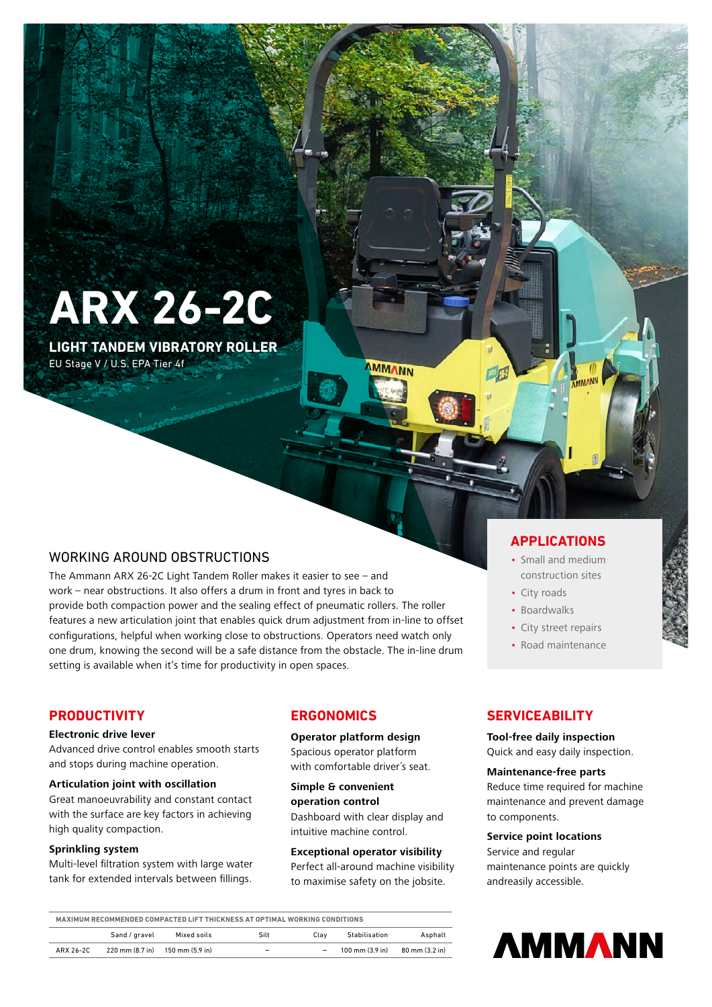**ARX 26-2C**

**LIGHT TANDEM VIBRATORY ROLLER** EU Stage V / U.S. EPA Tier 4f

# WORKING AROUND OBSTRUCTIONS

The Ammann ARX 26-2C Light Tandem Roller makes it easier to see – and work – near obstructions. It also offers a drum in front and tyres in back to provide both compaction power and the sealing effect of pneumatic rollers. The roller features a new articulation joint that enables quick drum adjustment from in-line to offset configurations, helpful when working close to obstructions. Operators need watch only one drum, knowing the second will be a safe distance from the obstacle. The in-line drum setting is available when it's time for productivity in open spaces.

## **PRODUCTIVITY**

### **Electronic drive lever**

Advanced drive control enables smooth starts and stops during machine operation.

### **Articulation joint with oscillation**

Great manoeuvrability and constant contact with the surface are key factors in achieving high quality compaction.

### **Sprinkling system**

Multi-level filtration system with large water tank for extended intervals between fillings.

# **ERGONOMICS**

**Operator platform design** Spacious operator platform with comfortable driver´s seat.

**MMANN** 

**Simple & convenient operation control**  Dashboard with clear display and

intuitive machine control. **Exceptional operator visibility**

Perfect all-around machine visibility to maximise safety on the jobsite.

## **APPLICATIONS**

- Small and medium construction sites
- City roads
- Boardwalks
- City street repairs
- Road maintenance

## **SERVICEABILITY**

**Tool-free daily inspection** Quick and easy daily inspection.

### **Maintenance-free parts**

Reduce time required for machine maintenance and prevent damage to components.

### **Service point locations**

Service and regular maintenance points are quickly andreasily accessible.



| MAXIMUM RECOMMENDED COMPACTED LIFT THICKNESS AT OPTIMAL WORKING CONDITIONS |               |                                                   |      |                          |                 |                |
|----------------------------------------------------------------------------|---------------|---------------------------------------------------|------|--------------------------|-----------------|----------------|
|                                                                            | Sand / gravel | Mixed soils                                       | Silt | Clav                     | Stabilisation   | Asphalt        |
| ARX 26-2C                                                                  |               | $220 \text{ mm} (8.7 \text{ in})$ 150 mm (5.9 in) | -    | $\overline{\phantom{a}}$ | 100 mm (3.9 in) | 80 mm (3.2 in) |